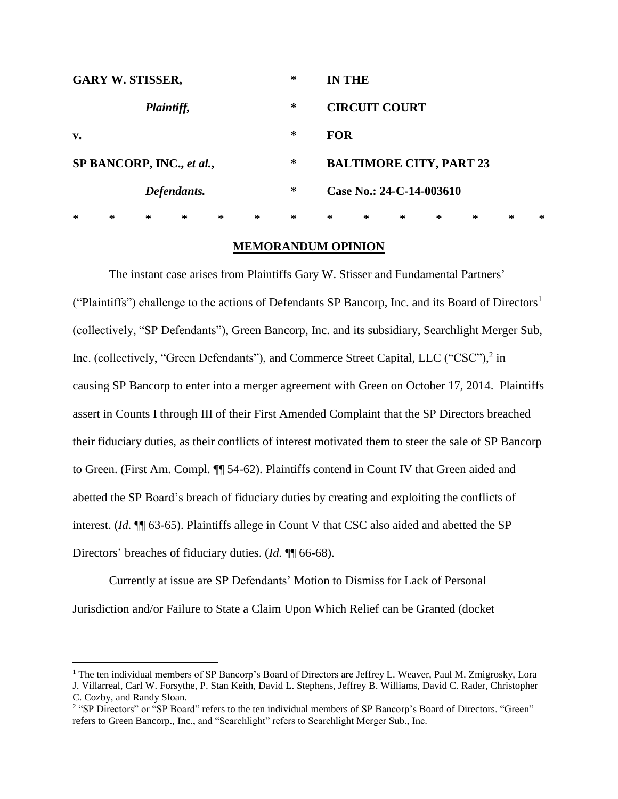| <b>GARY W. STISSER,</b>   |   |   |   |   |   | ∗ |            | <b>IN THE</b>                  |   |   |   |        |   |  |
|---------------------------|---|---|---|---|---|---|------------|--------------------------------|---|---|---|--------|---|--|
| Plaintiff,                |   |   |   |   |   | ∗ |            | <b>CIRCUIT COURT</b>           |   |   |   |        |   |  |
| $\mathbf{v}$ .            |   |   |   |   |   | ∗ | <b>FOR</b> |                                |   |   |   |        |   |  |
| SP BANCORP, INC., et al., |   |   |   |   |   | ∗ |            | <b>BALTIMORE CITY, PART 23</b> |   |   |   |        |   |  |
| Defendants.               |   |   |   |   |   | ∗ |            | Case No.: 24-C-14-003610       |   |   |   |        |   |  |
| $\ast$                    | ∗ | ∗ | ∗ | ∗ | ∗ | ∗ | ∗          | ∗                              | ∗ | ∗ | ∗ | $\ast$ | ∗ |  |

# **MEMORANDUM OPINION**

The instant case arises from Plaintiffs Gary W. Stisser and Fundamental Partners' ("Plaintiffs") challenge to the actions of Defendants SP Bancorp, Inc. and its Board of Directors<sup>1</sup> (collectively, "SP Defendants"), Green Bancorp, Inc. and its subsidiary, Searchlight Merger Sub, Inc. (collectively, "Green Defendants"), and Commerce Street Capital, LLC ("CSC"),<sup>2</sup> in causing SP Bancorp to enter into a merger agreement with Green on October 17, 2014. Plaintiffs assert in Counts I through III of their First Amended Complaint that the SP Directors breached their fiduciary duties, as their conflicts of interest motivated them to steer the sale of SP Bancorp to Green. (First Am. Compl. ¶¶ 54-62). Plaintiffs contend in Count IV that Green aided and abetted the SP Board's breach of fiduciary duties by creating and exploiting the conflicts of interest. (*Id.* ¶¶ 63-65). Plaintiffs allege in Count V that CSC also aided and abetted the SP Directors' breaches of fiduciary duties. (*Id.* ¶¶ 66-68).

Currently at issue are SP Defendants' Motion to Dismiss for Lack of Personal Jurisdiction and/or Failure to State a Claim Upon Which Relief can be Granted (docket

 $\overline{a}$ 

<sup>&</sup>lt;sup>1</sup> The ten individual members of SP Bancorp's Board of Directors are Jeffrey L. Weaver, Paul M. Zmigrosky, Lora J. Villarreal, Carl W. Forsythe, P. Stan Keith, David L. Stephens, Jeffrey B. Williams, David C. Rader, Christopher C. Cozby, and Randy Sloan.

<sup>&</sup>lt;sup>2</sup> "SP Directors" or "SP Board" refers to the ten individual members of SP Bancorp's Board of Directors. "Green" refers to Green Bancorp., Inc., and "Searchlight" refers to Searchlight Merger Sub., Inc.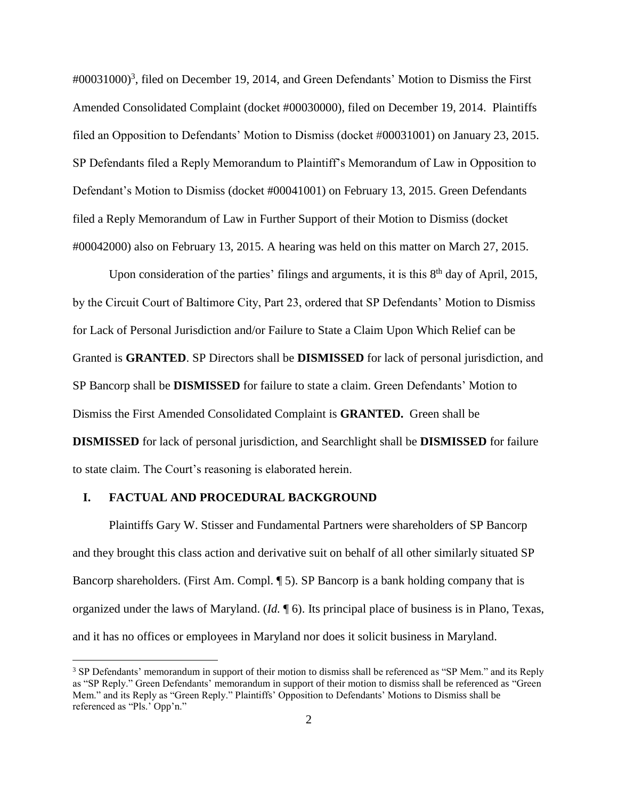#00031000) 3 , filed on December 19, 2014, and Green Defendants' Motion to Dismiss the First Amended Consolidated Complaint (docket #00030000), filed on December 19, 2014. Plaintiffs filed an Opposition to Defendants' Motion to Dismiss (docket #00031001) on January 23, 2015. SP Defendants filed a Reply Memorandum to Plaintiff's Memorandum of Law in Opposition to Defendant's Motion to Dismiss (docket #00041001) on February 13, 2015. Green Defendants filed a Reply Memorandum of Law in Further Support of their Motion to Dismiss (docket #00042000) also on February 13, 2015. A hearing was held on this matter on March 27, 2015.

Upon consideration of the parties' filings and arguments, it is this 8<sup>th</sup> day of April, 2015, by the Circuit Court of Baltimore City, Part 23, ordered that SP Defendants' Motion to Dismiss for Lack of Personal Jurisdiction and/or Failure to State a Claim Upon Which Relief can be Granted is **GRANTED**. SP Directors shall be **DISMISSED** for lack of personal jurisdiction, and SP Bancorp shall be **DISMISSED** for failure to state a claim. Green Defendants' Motion to Dismiss the First Amended Consolidated Complaint is **GRANTED.** Green shall be **DISMISSED** for lack of personal jurisdiction, and Searchlight shall be **DISMISSED** for failure to state claim. The Court's reasoning is elaborated herein.

## **I. FACTUAL AND PROCEDURAL BACKGROUND**

 $\overline{a}$ 

Plaintiffs Gary W. Stisser and Fundamental Partners were shareholders of SP Bancorp and they brought this class action and derivative suit on behalf of all other similarly situated SP Bancorp shareholders. (First Am. Compl. ¶ 5). SP Bancorp is a bank holding company that is organized under the laws of Maryland. (*Id.* ¶ 6). Its principal place of business is in Plano, Texas, and it has no offices or employees in Maryland nor does it solicit business in Maryland.

<sup>&</sup>lt;sup>3</sup> SP Defendants' memorandum in support of their motion to dismiss shall be referenced as "SP Mem." and its Reply as "SP Reply." Green Defendants' memorandum in support of their motion to dismiss shall be referenced as "Green Mem." and its Reply as "Green Reply." Plaintiffs' Opposition to Defendants' Motions to Dismiss shall be referenced as "Pls.' Opp'n."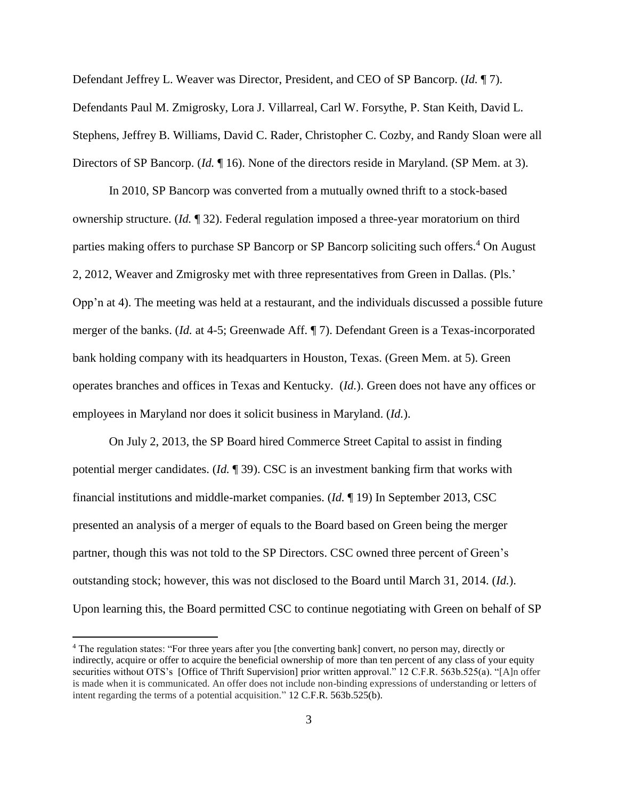Defendant Jeffrey L. Weaver was Director, President, and CEO of SP Bancorp. (*Id.* ¶ 7). Defendants Paul M. Zmigrosky, Lora J. Villarreal, Carl W. Forsythe, P. Stan Keith, David L. Stephens, Jeffrey B. Williams, David C. Rader, Christopher C. Cozby, and Randy Sloan were all Directors of SP Bancorp. (*Id.* ¶ 16). None of the directors reside in Maryland. (SP Mem. at 3).

In 2010, SP Bancorp was converted from a mutually owned thrift to a stock-based ownership structure. (*Id.* ¶ 32). Federal regulation imposed a three-year moratorium on third parties making offers to purchase SP Bancorp or SP Bancorp soliciting such offers.<sup>4</sup> On August 2, 2012, Weaver and Zmigrosky met with three representatives from Green in Dallas. (Pls.' Opp'n at 4). The meeting was held at a restaurant, and the individuals discussed a possible future merger of the banks. (*Id.* at 4-5; Greenwade Aff. ¶ 7). Defendant Green is a Texas-incorporated bank holding company with its headquarters in Houston, Texas. (Green Mem. at 5). Green operates branches and offices in Texas and Kentucky. (*Id.*). Green does not have any offices or employees in Maryland nor does it solicit business in Maryland. (*Id.*).

On July 2, 2013, the SP Board hired Commerce Street Capital to assist in finding potential merger candidates. (*Id.* ¶ 39). CSC is an investment banking firm that works with financial institutions and middle-market companies. (*Id.* ¶ 19) In September 2013, CSC presented an analysis of a merger of equals to the Board based on Green being the merger partner, though this was not told to the SP Directors. CSC owned three percent of Green's outstanding stock; however, this was not disclosed to the Board until March 31, 2014. (*Id.*). Upon learning this, the Board permitted CSC to continue negotiating with Green on behalf of SP

 $\overline{a}$ 

<sup>4</sup> The regulation states: "For three years after you [the converting bank] convert, no person may, directly or indirectly, acquire or offer to acquire the beneficial ownership of more than ten percent of any class of your equity securities without OTS's [Office of Thrift Supervision] prior written approval." 12 C.F.R. 563b.525(a). "[A]n offer is made when it is communicated. An offer does not include non-binding expressions of understanding or letters of intent regarding the terms of a potential acquisition." 12 C.F.R. 563b.525(b).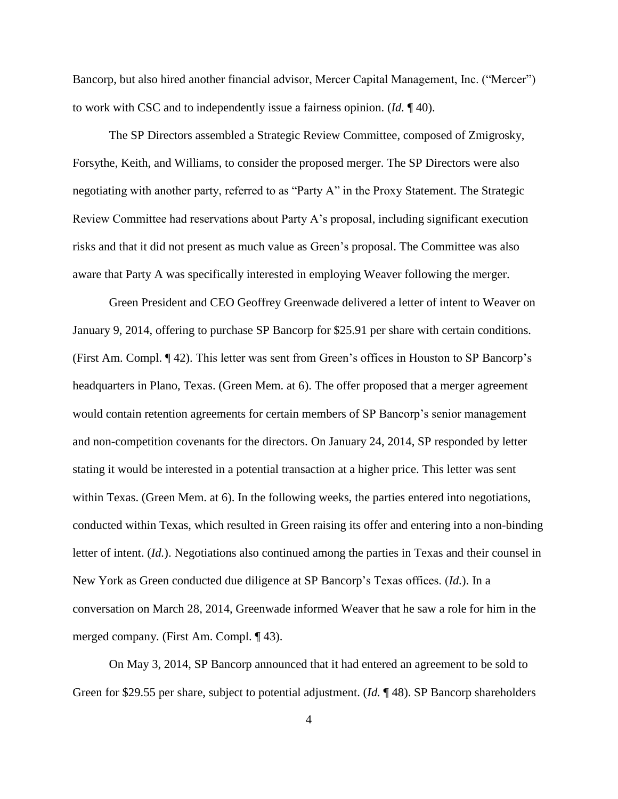Bancorp, but also hired another financial advisor, Mercer Capital Management, Inc. ("Mercer") to work with CSC and to independently issue a fairness opinion. (*Id.* ¶ 40).

The SP Directors assembled a Strategic Review Committee, composed of Zmigrosky, Forsythe, Keith, and Williams, to consider the proposed merger. The SP Directors were also negotiating with another party, referred to as "Party A" in the Proxy Statement. The Strategic Review Committee had reservations about Party A's proposal, including significant execution risks and that it did not present as much value as Green's proposal. The Committee was also aware that Party A was specifically interested in employing Weaver following the merger.

Green President and CEO Geoffrey Greenwade delivered a letter of intent to Weaver on January 9, 2014, offering to purchase SP Bancorp for \$25.91 per share with certain conditions. (First Am. Compl. ¶ 42). This letter was sent from Green's offices in Houston to SP Bancorp's headquarters in Plano, Texas. (Green Mem. at 6). The offer proposed that a merger agreement would contain retention agreements for certain members of SP Bancorp's senior management and non-competition covenants for the directors. On January 24, 2014, SP responded by letter stating it would be interested in a potential transaction at a higher price. This letter was sent within Texas. (Green Mem. at 6). In the following weeks, the parties entered into negotiations, conducted within Texas, which resulted in Green raising its offer and entering into a non-binding letter of intent. (*Id.*). Negotiations also continued among the parties in Texas and their counsel in New York as Green conducted due diligence at SP Bancorp's Texas offices. (*Id.*). In a conversation on March 28, 2014, Greenwade informed Weaver that he saw a role for him in the merged company. (First Am. Compl. ¶ 43).

On May 3, 2014, SP Bancorp announced that it had entered an agreement to be sold to Green for \$29.55 per share, subject to potential adjustment. (*Id.* ¶ 48). SP Bancorp shareholders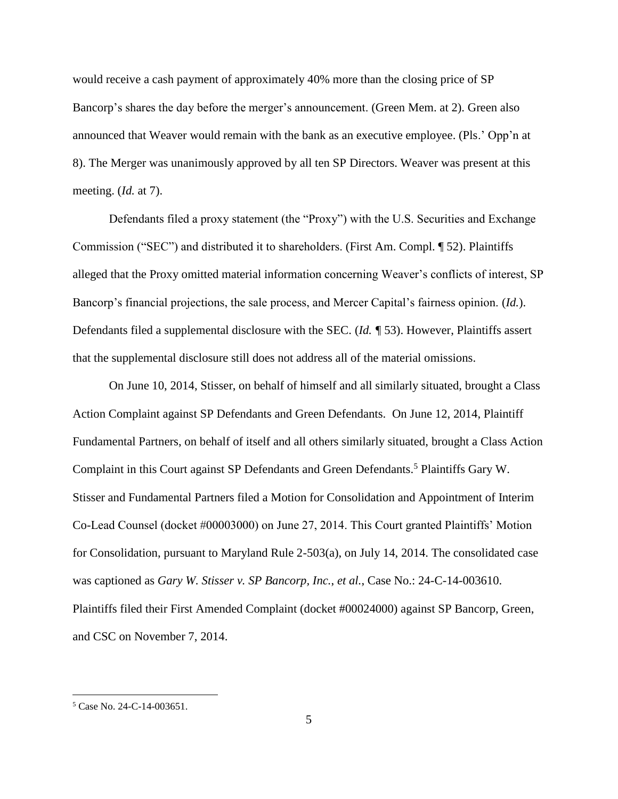would receive a cash payment of approximately 40% more than the closing price of SP Bancorp's shares the day before the merger's announcement. (Green Mem. at 2). Green also announced that Weaver would remain with the bank as an executive employee. (Pls.' Opp'n at 8). The Merger was unanimously approved by all ten SP Directors. Weaver was present at this meeting. (*Id.* at 7).

Defendants filed a proxy statement (the "Proxy") with the U.S. Securities and Exchange Commission ("SEC") and distributed it to shareholders. (First Am. Compl. ¶ 52). Plaintiffs alleged that the Proxy omitted material information concerning Weaver's conflicts of interest, SP Bancorp's financial projections, the sale process, and Mercer Capital's fairness opinion. (*Id.*). Defendants filed a supplemental disclosure with the SEC. (*Id. ¶* 53). However, Plaintiffs assert that the supplemental disclosure still does not address all of the material omissions.

On June 10, 2014, Stisser, on behalf of himself and all similarly situated, brought a Class Action Complaint against SP Defendants and Green Defendants. On June 12, 2014, Plaintiff Fundamental Partners, on behalf of itself and all others similarly situated, brought a Class Action Complaint in this Court against SP Defendants and Green Defendants.<sup>5</sup> Plaintiffs Gary W. Stisser and Fundamental Partners filed a Motion for Consolidation and Appointment of Interim Co-Lead Counsel (docket #00003000) on June 27, 2014. This Court granted Plaintiffs' Motion for Consolidation, pursuant to Maryland Rule 2-503(a), on July 14, 2014. The consolidated case was captioned as *Gary W. Stisser v. SP Bancorp, Inc.*, *et al.*, Case No.: 24-C-14-003610. Plaintiffs filed their First Amended Complaint (docket #00024000) against SP Bancorp, Green, and CSC on November 7, 2014.

 $\overline{a}$ 

 $5$  Case No. 24-C-14-003651.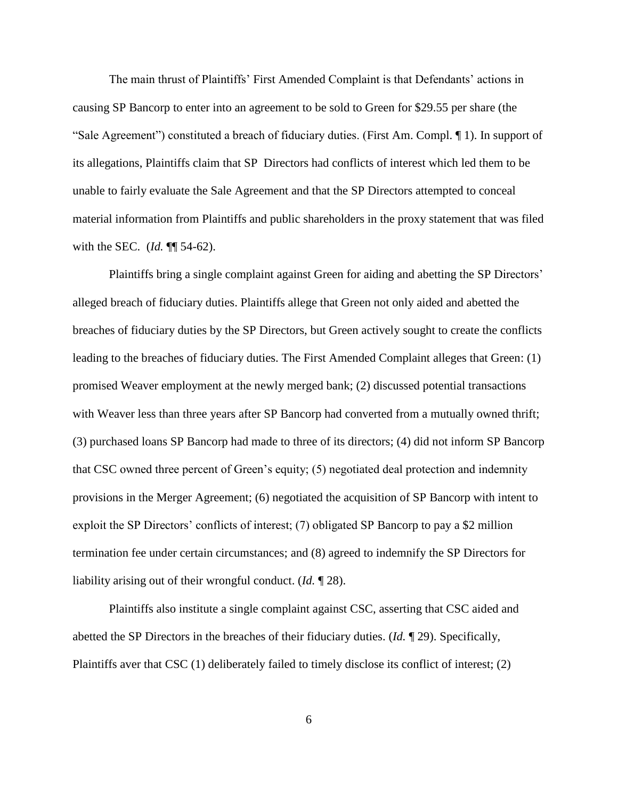The main thrust of Plaintiffs' First Amended Complaint is that Defendants' actions in causing SP Bancorp to enter into an agreement to be sold to Green for \$29.55 per share (the "Sale Agreement") constituted a breach of fiduciary duties. (First Am. Compl. ¶ 1). In support of its allegations, Plaintiffs claim that SP Directors had conflicts of interest which led them to be unable to fairly evaluate the Sale Agreement and that the SP Directors attempted to conceal material information from Plaintiffs and public shareholders in the proxy statement that was filed with the SEC. (*Id.* ¶¶ 54-62).

Plaintiffs bring a single complaint against Green for aiding and abetting the SP Directors' alleged breach of fiduciary duties. Plaintiffs allege that Green not only aided and abetted the breaches of fiduciary duties by the SP Directors, but Green actively sought to create the conflicts leading to the breaches of fiduciary duties. The First Amended Complaint alleges that Green: (1) promised Weaver employment at the newly merged bank; (2) discussed potential transactions with Weaver less than three years after SP Bancorp had converted from a mutually owned thrift; (3) purchased loans SP Bancorp had made to three of its directors; (4) did not inform SP Bancorp that CSC owned three percent of Green's equity; (5) negotiated deal protection and indemnity provisions in the Merger Agreement; (6) negotiated the acquisition of SP Bancorp with intent to exploit the SP Directors' conflicts of interest; (7) obligated SP Bancorp to pay a \$2 million termination fee under certain circumstances; and (8) agreed to indemnify the SP Directors for liability arising out of their wrongful conduct. (*Id.* ¶ 28).

Plaintiffs also institute a single complaint against CSC, asserting that CSC aided and abetted the SP Directors in the breaches of their fiduciary duties. (*Id.* ¶ 29). Specifically, Plaintiffs aver that CSC (1) deliberately failed to timely disclose its conflict of interest; (2)

6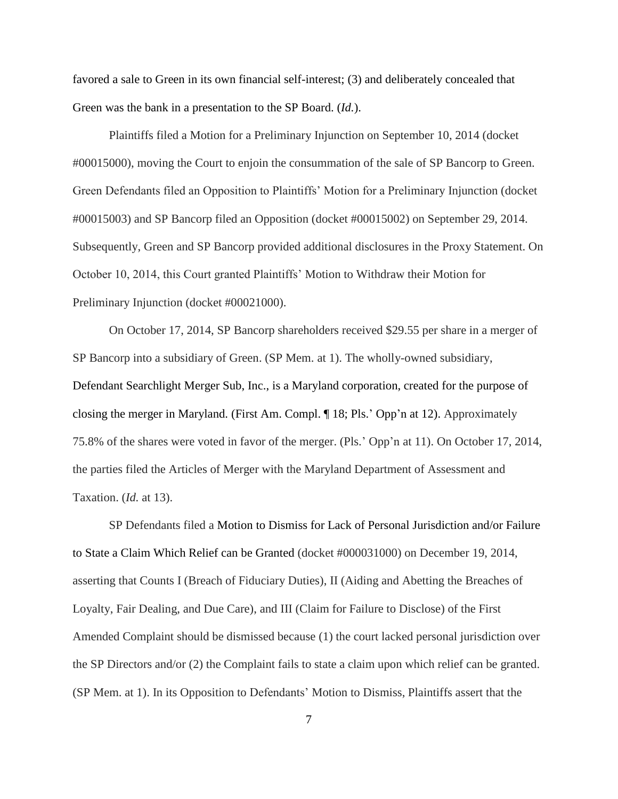favored a sale to Green in its own financial self-interest; (3) and deliberately concealed that Green was the bank in a presentation to the SP Board. (*Id.*).

Plaintiffs filed a Motion for a Preliminary Injunction on September 10, 2014 (docket #00015000), moving the Court to enjoin the consummation of the sale of SP Bancorp to Green. Green Defendants filed an Opposition to Plaintiffs' Motion for a Preliminary Injunction (docket #00015003) and SP Bancorp filed an Opposition (docket #00015002) on September 29, 2014. Subsequently, Green and SP Bancorp provided additional disclosures in the Proxy Statement. On October 10, 2014, this Court granted Plaintiffs' Motion to Withdraw their Motion for Preliminary Injunction (docket #00021000).

On October 17, 2014, SP Bancorp shareholders received \$29.55 per share in a merger of SP Bancorp into a subsidiary of Green. (SP Mem. at 1). The wholly-owned subsidiary, Defendant Searchlight Merger Sub, Inc., is a Maryland corporation, created for the purpose of closing the merger in Maryland. (First Am. Compl. ¶ 18; Pls.' Opp'n at 12). Approximately 75.8% of the shares were voted in favor of the merger. (Pls.' Opp'n at 11). On October 17, 2014, the parties filed the Articles of Merger with the Maryland Department of Assessment and Taxation. (*Id.* at 13).

SP Defendants filed a Motion to Dismiss for Lack of Personal Jurisdiction and/or Failure to State a Claim Which Relief can be Granted (docket #000031000) on December 19, 2014, asserting that Counts I (Breach of Fiduciary Duties), II (Aiding and Abetting the Breaches of Loyalty, Fair Dealing, and Due Care), and III (Claim for Failure to Disclose) of the First Amended Complaint should be dismissed because (1) the court lacked personal jurisdiction over the SP Directors and/or (2) the Complaint fails to state a claim upon which relief can be granted. (SP Mem. at 1). In its Opposition to Defendants' Motion to Dismiss, Plaintiffs assert that the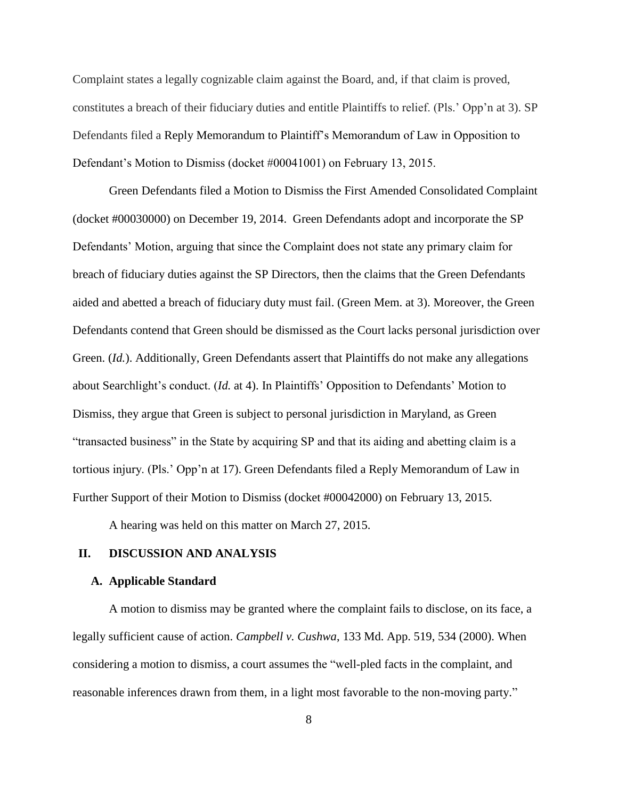Complaint states a legally cognizable claim against the Board, and, if that claim is proved, constitutes a breach of their fiduciary duties and entitle Plaintiffs to relief. (Pls.' Opp'n at 3). SP Defendants filed a Reply Memorandum to Plaintiff's Memorandum of Law in Opposition to Defendant's Motion to Dismiss (docket #00041001) on February 13, 2015.

Green Defendants filed a Motion to Dismiss the First Amended Consolidated Complaint (docket #00030000) on December 19, 2014. Green Defendants adopt and incorporate the SP Defendants' Motion, arguing that since the Complaint does not state any primary claim for breach of fiduciary duties against the SP Directors, then the claims that the Green Defendants aided and abetted a breach of fiduciary duty must fail. (Green Mem. at 3). Moreover, the Green Defendants contend that Green should be dismissed as the Court lacks personal jurisdiction over Green. (*Id.*). Additionally, Green Defendants assert that Plaintiffs do not make any allegations about Searchlight's conduct. (*Id.* at 4). In Plaintiffs' Opposition to Defendants' Motion to Dismiss, they argue that Green is subject to personal jurisdiction in Maryland, as Green "transacted business" in the State by acquiring SP and that its aiding and abetting claim is a tortious injury. (Pls.' Opp'n at 17). Green Defendants filed a Reply Memorandum of Law in Further Support of their Motion to Dismiss (docket #00042000) on February 13, 2015.

A hearing was held on this matter on March 27, 2015.

# **II. DISCUSSION AND ANALYSIS**

#### **A. Applicable Standard**

A motion to dismiss may be granted where the complaint fails to disclose, on its face, a legally sufficient cause of action. *Campbell v. Cushwa*, 133 Md. App. 519, 534 (2000). When considering a motion to dismiss, a court assumes the "well-pled facts in the complaint, and reasonable inferences drawn from them, in a light most favorable to the non-moving party."

8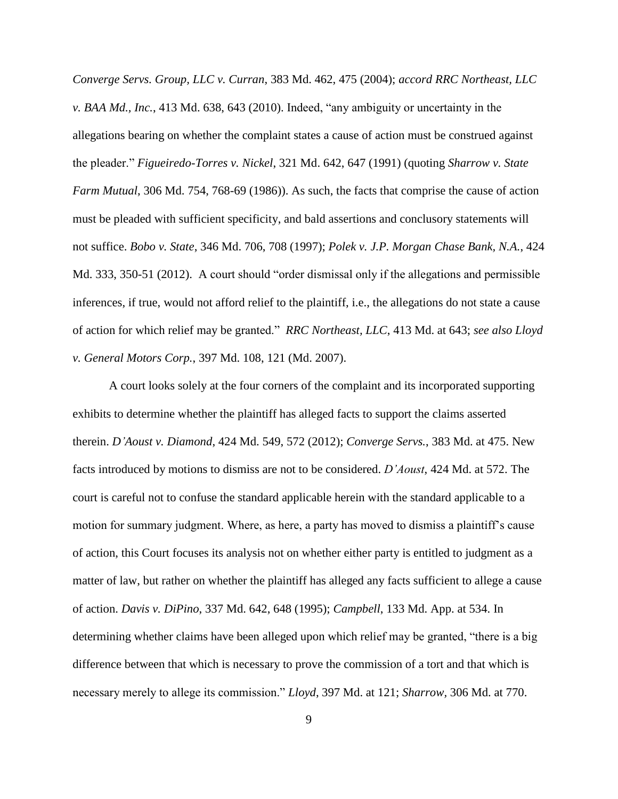*Converge Servs. Group, LLC v. Curran*, 383 Md. 462, 475 (2004); *accord RRC Northeast, LLC v. BAA Md., Inc.*, 413 Md. 638, 643 (2010). Indeed, "any ambiguity or uncertainty in the allegations bearing on whether the complaint states a cause of action must be construed against the pleader." *Figueiredo-Torres v. Nickel*, 321 Md. 642, 647 (1991) (quoting *Sharrow v. State Farm Mutual*, 306 Md. 754, 768-69 (1986)). As such, the facts that comprise the cause of action must be pleaded with sufficient specificity, and bald assertions and conclusory statements will not suffice. *Bobo v. State*, 346 Md. 706, 708 (1997); *Polek v. J.P. Morgan Chase Bank, N.A.*, 424 Md. 333, 350-51 (2012). A court should "order dismissal only if the allegations and permissible inferences, if true, would not afford relief to the plaintiff, i.e., the allegations do not state a cause of action for which relief may be granted." *RRC Northeast, LLC*, 413 Md. at 643; *see also Lloyd v. General Motors Corp.*, 397 Md. 108, 121 (Md. 2007).

A court looks solely at the four corners of the complaint and its incorporated supporting exhibits to determine whether the plaintiff has alleged facts to support the claims asserted therein. *D'Aoust v. Diamond*, 424 Md. 549, 572 (2012); *Converge Servs.*, 383 Md. at 475. New facts introduced by motions to dismiss are not to be considered. *D'Aoust*, 424 Md. at 572. The court is careful not to confuse the standard applicable herein with the standard applicable to a motion for summary judgment. Where, as here, a party has moved to dismiss a plaintiff's cause of action, this Court focuses its analysis not on whether either party is entitled to judgment as a matter of law, but rather on whether the plaintiff has alleged any facts sufficient to allege a cause of action. *Davis v. DiPino*, 337 Md. 642, 648 (1995); *Campbell*, 133 Md. App. at 534. In determining whether claims have been alleged upon which relief may be granted, "there is a big difference between that which is necessary to prove the commission of a tort and that which is necessary merely to allege its commission." *Lloyd*, 397 Md. at 121; *Sharrow,* 306 Md. at 770.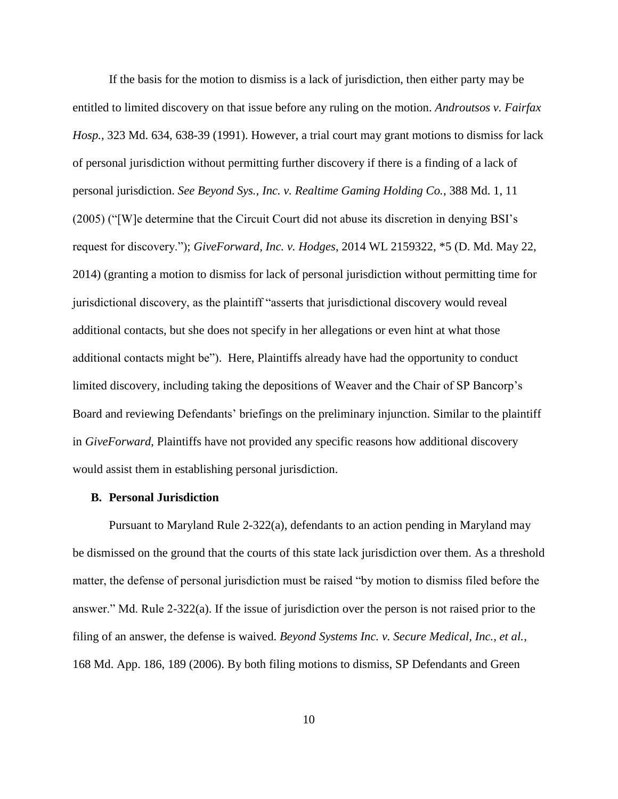If the basis for the motion to dismiss is a lack of jurisdiction, then either party may be entitled to limited discovery on that issue before any ruling on the motion. *Androutsos v. Fairfax Hosp.*, 323 Md. 634, 638-39 (1991). However, a trial court may grant motions to dismiss for lack of personal jurisdiction without permitting further discovery if there is a finding of a lack of personal jurisdiction. *See Beyond Sys., Inc. v. Realtime Gaming Holding Co.*, 388 Md. 1, 11 (2005) ("[W]e determine that the Circuit Court did not abuse its discretion in denying BSI's request for discovery."); *GiveForward, Inc. v. Hodges*, 2014 WL 2159322, \*5 (D. Md. May 22, 2014) (granting a motion to dismiss for lack of personal jurisdiction without permitting time for jurisdictional discovery, as the plaintiff "asserts that jurisdictional discovery would reveal additional contacts, but she does not specify in her allegations or even hint at what those additional contacts might be"). Here, Plaintiffs already have had the opportunity to conduct limited discovery, including taking the depositions of Weaver and the Chair of SP Bancorp's Board and reviewing Defendants' briefings on the preliminary injunction. Similar to the plaintiff in *GiveForward*, Plaintiffs have not provided any specific reasons how additional discovery would assist them in establishing personal jurisdiction.

#### **B. Personal Jurisdiction**

Pursuant to Maryland Rule 2-322(a), defendants to an action pending in Maryland may be dismissed on the ground that the courts of this state lack jurisdiction over them. As a threshold matter, the defense of personal jurisdiction must be raised "by motion to dismiss filed before the answer." Md. Rule 2-322(a). If the issue of jurisdiction over the person is not raised prior to the filing of an answer, the defense is waived. *Beyond Systems Inc. v. Secure Medical, Inc., et al.*, 168 Md. App. 186, 189 (2006). By both filing motions to dismiss, SP Defendants and Green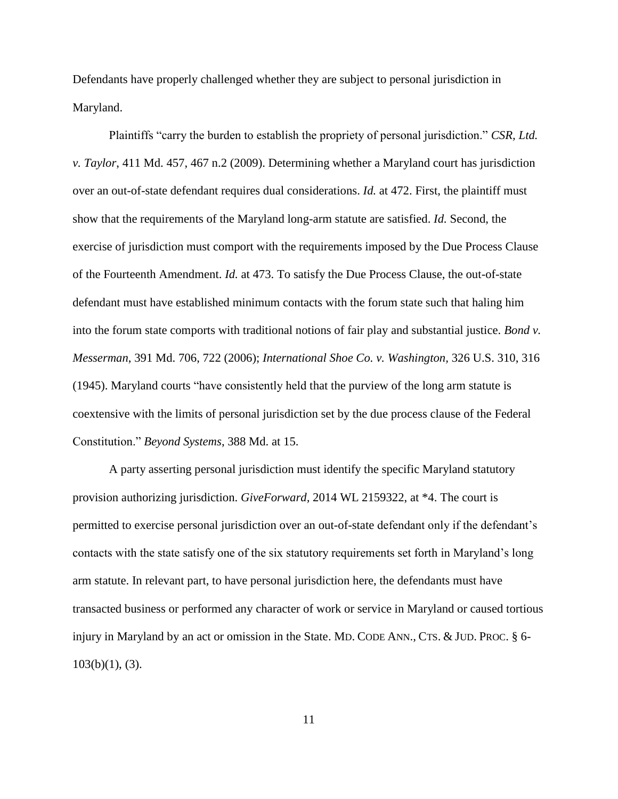Defendants have properly challenged whether they are subject to personal jurisdiction in Maryland.

Plaintiffs "carry the burden to establish the propriety of personal jurisdiction." *CSR, Ltd. v. Taylor*, 411 Md. 457, 467 n.2 (2009). Determining whether a Maryland court has jurisdiction over an out-of-state defendant requires dual considerations. *Id.* at 472. First, the plaintiff must show that the requirements of the Maryland long-arm statute are satisfied. *Id.* Second, the exercise of jurisdiction must comport with the requirements imposed by the Due Process Clause of the Fourteenth Amendment. *Id.* at 473. To satisfy the Due Process Clause, the out-of-state defendant must have established minimum contacts with the forum state such that haling him into the forum state comports with traditional notions of fair play and substantial justice. *Bond v. Messerman*, 391 Md. 706, 722 (2006); *International Shoe Co. v. Washington,* 326 U.S. 310, 316 (1945). Maryland courts "have consistently held that the purview of the long arm statute is coextensive with the limits of personal jurisdiction set by the due process clause of the Federal Constitution." *Beyond Systems*, 388 Md. at 15.

A party asserting personal jurisdiction must identify the specific Maryland statutory provision authorizing jurisdiction. *GiveForward,* 2014 WL 2159322, at \*4. The court is permitted to exercise personal jurisdiction over an out-of-state defendant only if the defendant's contacts with the state satisfy one of the six statutory requirements set forth in Maryland's long arm statute. In relevant part, to have personal jurisdiction here, the defendants must have transacted business or performed any character of work or service in Maryland or caused tortious injury in Maryland by an act or omission in the State. MD. CODE ANN., CTS. & JUD. PROC. § 6-  $103(b)(1)$ , (3).

11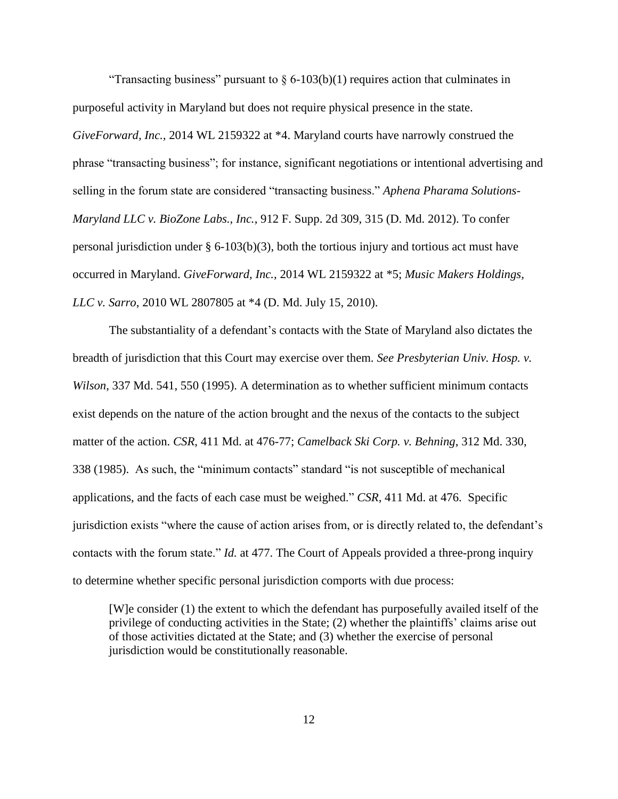"Transacting business" pursuant to  $\delta$  6-103(b)(1) requires action that culminates in purposeful activity in Maryland but does not require physical presence in the state. *GiveForward, Inc.,* 2014 WL 2159322 at \*4. Maryland courts have narrowly construed the phrase "transacting business"; for instance, significant negotiations or intentional advertising and selling in the forum state are considered "transacting business." *Aphena Pharama Solutions-Maryland LLC v. BioZone Labs., Inc.*, 912 F. Supp. 2d 309, 315 (D. Md. 2012). To confer personal jurisdiction under § 6-103(b)(3), both the tortious injury and tortious act must have occurred in Maryland. *GiveForward, Inc.,* 2014 WL 2159322 at \*5; *Music Makers Holdings, LLC v. Sarro*, 2010 WL 2807805 at \*4 (D. Md. July 15, 2010).

The substantiality of a defendant's contacts with the State of Maryland also dictates the breadth of jurisdiction that this Court may exercise over them. *See Presbyterian Univ. Hosp. v. Wilson*, 337 Md. 541, 550 (1995). A determination as to whether sufficient minimum contacts exist depends on the nature of the action brought and the nexus of the contacts to the subject matter of the action. *CSR*, 411 Md. at 476-77; *Camelback Ski Corp. v. Behning*, 312 Md. 330, 338 (1985). As such, the "minimum contacts" standard "is not susceptible of mechanical applications, and the facts of each case must be weighed." *CSR*, 411 Md. at 476. Specific jurisdiction exists "where the cause of action arises from, or is directly related to, the defendant's contacts with the forum state." *Id.* at 477. The Court of Appeals provided a three-prong inquiry to determine whether specific personal jurisdiction comports with due process:

[W]e consider (1) the extent to which the defendant has purposefully availed itself of the privilege of conducting activities in the State; (2) whether the plaintiffs' claims arise out of those activities dictated at the State; and (3) whether the exercise of personal jurisdiction would be constitutionally reasonable.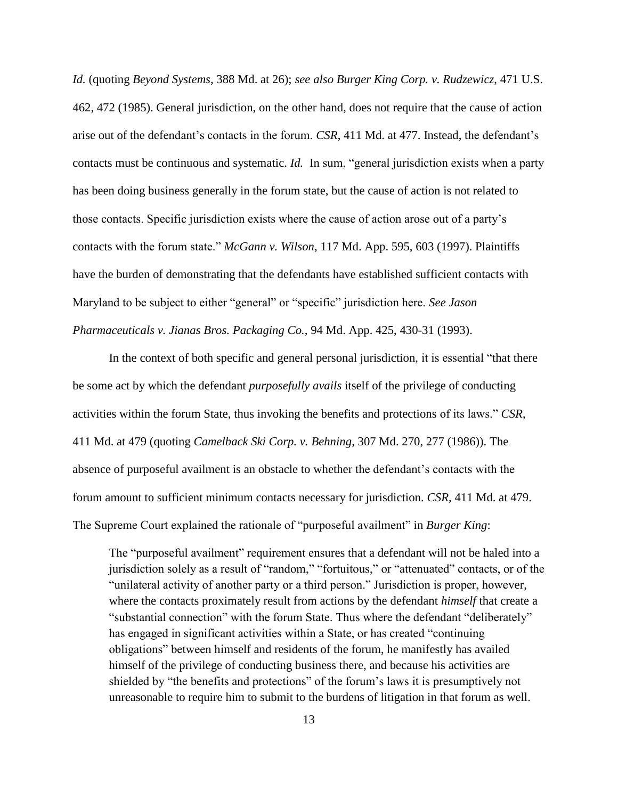*Id.* (quoting *Beyond Systems*, 388 Md. at 26); *see also Burger King Corp. v. Rudzewicz*, 471 U.S. 462, 472 (1985). General jurisdiction, on the other hand, does not require that the cause of action arise out of the defendant's contacts in the forum. *CSR*, 411 Md. at 477. Instead, the defendant's contacts must be continuous and systematic. *Id.* In sum, "general jurisdiction exists when a party has been doing business generally in the forum state, but the cause of action is not related to those contacts. Specific jurisdiction exists where the cause of action arose out of a party's contacts with the forum state." *McGann v. Wilson*, 117 Md. App. 595, 603 (1997). Plaintiffs have the burden of demonstrating that the defendants have established sufficient contacts with Maryland to be subject to either "general" or "specific" jurisdiction here. *See Jason Pharmaceuticals v. Jianas Bros. Packaging Co.,* 94 Md. App. 425, 430-31 (1993).

In the context of both specific and general personal jurisdiction, it is essential "that there be some act by which the defendant *purposefully avails* itself of the privilege of conducting activities within the forum State, thus invoking the benefits and protections of its laws." *CSR*, 411 Md. at 479 (quoting *Camelback Ski Corp. v. Behning*, 307 Md. 270, 277 (1986)). The absence of purposeful availment is an obstacle to whether the defendant's contacts with the forum amount to sufficient minimum contacts necessary for jurisdiction. *CSR*, 411 Md. at 479. The Supreme Court explained the rationale of "purposeful availment" in *Burger King*:

The "purposeful availment" requirement ensures that a defendant will not be haled into a jurisdiction solely as a result of "random," "fortuitous," or "attenuated" contacts, or of the "unilateral activity of another party or a third person." Jurisdiction is proper, however, where the contacts proximately result from actions by the defendant *himself* that create a "substantial connection" with the forum State. Thus where the defendant "deliberately" has engaged in significant activities within a State, or has created "continuing obligations" between himself and residents of the forum, he manifestly has availed himself of the privilege of conducting business there, and because his activities are shielded by "the benefits and protections" of the forum's laws it is presumptively not unreasonable to require him to submit to the burdens of litigation in that forum as well.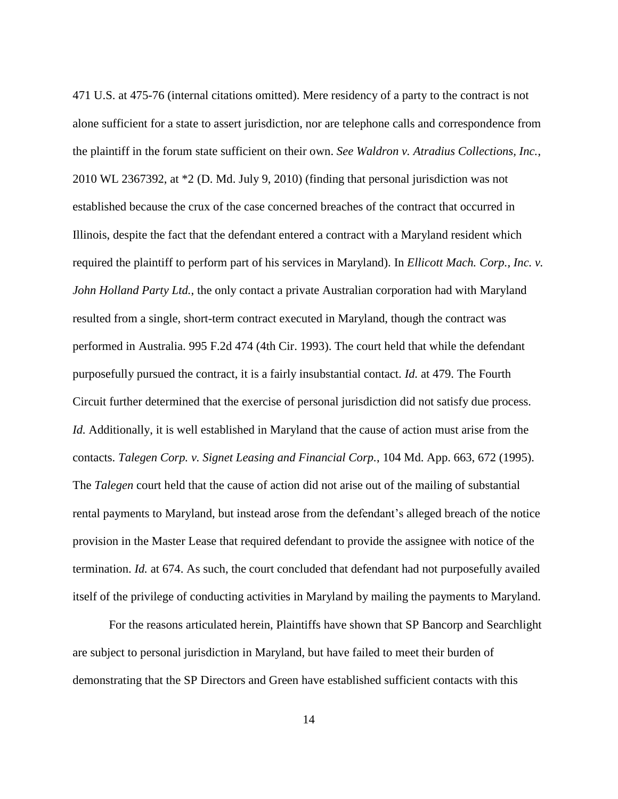471 U.S. at 475-76 (internal citations omitted). Mere residency of a party to the contract is not alone sufficient for a state to assert jurisdiction, nor are telephone calls and correspondence from the plaintiff in the forum state sufficient on their own. *See Waldron v. Atradius Collections, Inc.*, 2010 WL 2367392, at \*2 (D. Md. July 9, 2010) (finding that personal jurisdiction was not established because the crux of the case concerned breaches of the contract that occurred in Illinois, despite the fact that the defendant entered a contract with a Maryland resident which required the plaintiff to perform part of his services in Maryland). In *Ellicott Mach. Corp., Inc. v. John Holland Party Ltd.*, the only contact a private Australian corporation had with Maryland resulted from a single, short-term contract executed in Maryland, though the contract was performed in Australia. 995 F.2d 474 (4th Cir. 1993). The court held that while the defendant purposefully pursued the contract, it is a fairly insubstantial contact. *Id.* at 479. The Fourth Circuit further determined that the exercise of personal jurisdiction did not satisfy due process. *Id.* Additionally, it is well established in Maryland that the cause of action must arise from the contacts. *Talegen Corp. v. Signet Leasing and Financial Corp.*, 104 Md. App. 663, 672 (1995). The *Talegen* court held that the cause of action did not arise out of the mailing of substantial rental payments to Maryland, but instead arose from the defendant's alleged breach of the notice provision in the Master Lease that required defendant to provide the assignee with notice of the termination. *Id.* at 674. As such, the court concluded that defendant had not purposefully availed itself of the privilege of conducting activities in Maryland by mailing the payments to Maryland.

For the reasons articulated herein, Plaintiffs have shown that SP Bancorp and Searchlight are subject to personal jurisdiction in Maryland, but have failed to meet their burden of demonstrating that the SP Directors and Green have established sufficient contacts with this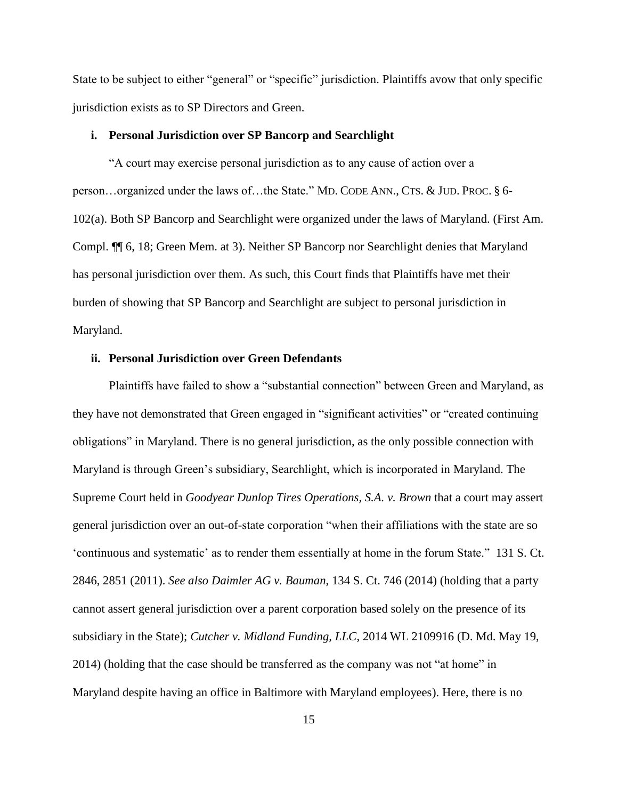State to be subject to either "general" or "specific" jurisdiction. Plaintiffs avow that only specific jurisdiction exists as to SP Directors and Green.

#### **i. Personal Jurisdiction over SP Bancorp and Searchlight**

"A court may exercise personal jurisdiction as to any cause of action over a person…organized under the laws of…the State." MD. CODE ANN., CTS. & JUD. PROC. § 6- 102(a). Both SP Bancorp and Searchlight were organized under the laws of Maryland. (First Am. Compl. ¶¶ 6, 18; Green Mem. at 3). Neither SP Bancorp nor Searchlight denies that Maryland has personal jurisdiction over them. As such, this Court finds that Plaintiffs have met their burden of showing that SP Bancorp and Searchlight are subject to personal jurisdiction in Maryland.

## **ii. Personal Jurisdiction over Green Defendants**

Plaintiffs have failed to show a "substantial connection" between Green and Maryland, as they have not demonstrated that Green engaged in "significant activities" or "created continuing obligations" in Maryland. There is no general jurisdiction, as the only possible connection with Maryland is through Green's subsidiary, Searchlight, which is incorporated in Maryland. The Supreme Court held in *Goodyear Dunlop Tires Operations, S.A. v. Brown* that a court may assert general jurisdiction over an out-of-state corporation "when their affiliations with the state are so 'continuous and systematic' as to render them essentially at home in the forum State." 131 S. Ct. 2846, 2851 (2011). *See also Daimler AG v. Bauman*, 134 S. Ct. 746 (2014) (holding that a party cannot assert general jurisdiction over a parent corporation based solely on the presence of its subsidiary in the State); *Cutcher v. Midland Funding, LLC*, 2014 WL 2109916 (D. Md. May 19, 2014) (holding that the case should be transferred as the company was not "at home" in Maryland despite having an office in Baltimore with Maryland employees). Here, there is no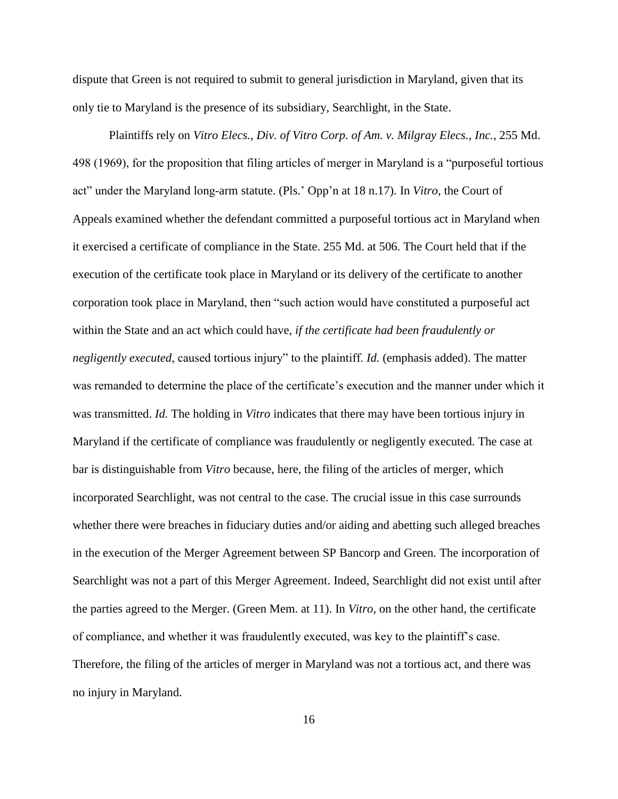dispute that Green is not required to submit to general jurisdiction in Maryland, given that its only tie to Maryland is the presence of its subsidiary, Searchlight, in the State.

Plaintiffs rely on *Vitro Elecs., Div. of Vitro Corp. of Am. v. Milgray Elecs., Inc.*, 255 Md. 498 (1969), for the proposition that filing articles of merger in Maryland is a "purposeful tortious act" under the Maryland long-arm statute. (Pls.' Opp'n at 18 n.17). In *Vitro*, the Court of Appeals examined whether the defendant committed a purposeful tortious act in Maryland when it exercised a certificate of compliance in the State. 255 Md. at 506. The Court held that if the execution of the certificate took place in Maryland or its delivery of the certificate to another corporation took place in Maryland, then "such action would have constituted a purposeful act within the State and an act which could have, *if the certificate had been fraudulently or negligently executed*, caused tortious injury" to the plaintiff. *Id.* (emphasis added). The matter was remanded to determine the place of the certificate's execution and the manner under which it was transmitted. *Id.* The holding in *Vitro* indicates that there may have been tortious injury in Maryland if the certificate of compliance was fraudulently or negligently executed. The case at bar is distinguishable from *Vitro* because, here, the filing of the articles of merger, which incorporated Searchlight, was not central to the case. The crucial issue in this case surrounds whether there were breaches in fiduciary duties and/or aiding and abetting such alleged breaches in the execution of the Merger Agreement between SP Bancorp and Green. The incorporation of Searchlight was not a part of this Merger Agreement. Indeed, Searchlight did not exist until after the parties agreed to the Merger. (Green Mem. at 11). In *Vitro*, on the other hand, the certificate of compliance, and whether it was fraudulently executed, was key to the plaintiff's case. Therefore, the filing of the articles of merger in Maryland was not a tortious act, and there was no injury in Maryland.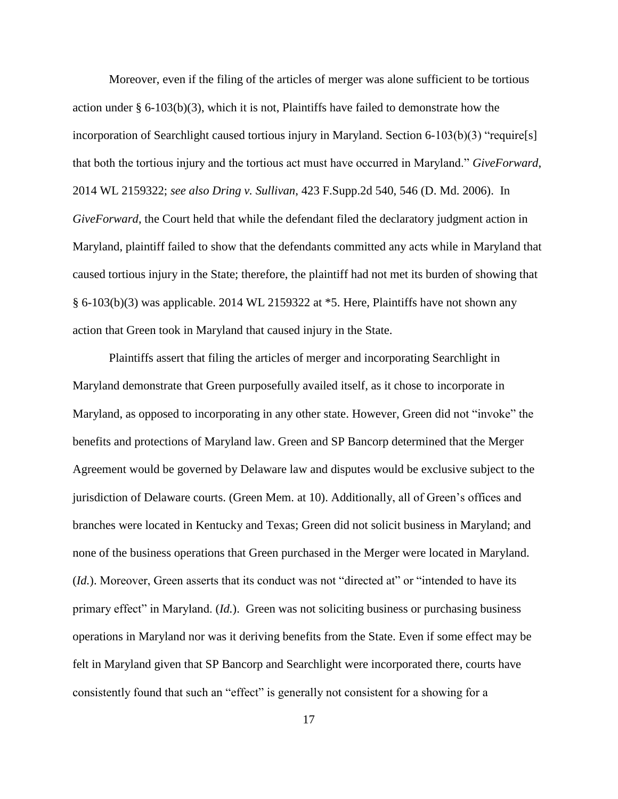Moreover, even if the filing of the articles of merger was alone sufficient to be tortious action under § 6-103(b)(3), which it is not, Plaintiffs have failed to demonstrate how the incorporation of Searchlight caused tortious injury in Maryland. Section 6-103(b)(3) "require[s] that both the tortious injury and the tortious act must have occurred in Maryland." *GiveForward*, 2014 WL 2159322; *see also Dring v. Sullivan*, 423 F.Supp.2d 540, 546 (D. Md. 2006). In *GiveForward*, the Court held that while the defendant filed the declaratory judgment action in Maryland, plaintiff failed to show that the defendants committed any acts while in Maryland that caused tortious injury in the State; therefore, the plaintiff had not met its burden of showing that § 6-103(b)(3) was applicable. 2014 WL 2159322 at \*5. Here, Plaintiffs have not shown any action that Green took in Maryland that caused injury in the State.

Plaintiffs assert that filing the articles of merger and incorporating Searchlight in Maryland demonstrate that Green purposefully availed itself, as it chose to incorporate in Maryland, as opposed to incorporating in any other state. However, Green did not "invoke" the benefits and protections of Maryland law. Green and SP Bancorp determined that the Merger Agreement would be governed by Delaware law and disputes would be exclusive subject to the jurisdiction of Delaware courts. (Green Mem. at 10). Additionally, all of Green's offices and branches were located in Kentucky and Texas; Green did not solicit business in Maryland; and none of the business operations that Green purchased in the Merger were located in Maryland. (*Id.*). Moreover, Green asserts that its conduct was not "directed at" or "intended to have its primary effect" in Maryland. (*Id.*). Green was not soliciting business or purchasing business operations in Maryland nor was it deriving benefits from the State. Even if some effect may be felt in Maryland given that SP Bancorp and Searchlight were incorporated there, courts have consistently found that such an "effect" is generally not consistent for a showing for a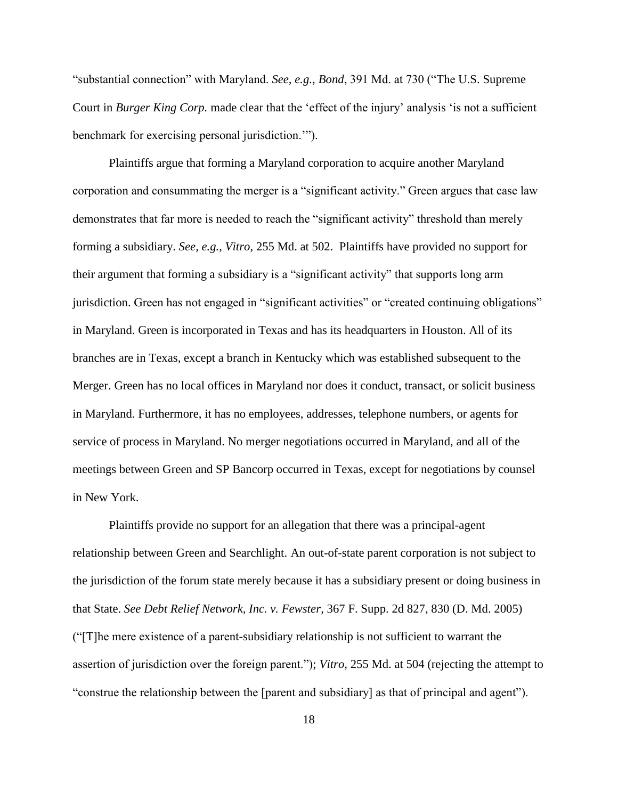"substantial connection" with Maryland. *See, e.g.*, *Bond*, 391 Md. at 730 ("The U.S. Supreme Court in *Burger King Corp.* made clear that the 'effect of the injury' analysis 'is not a sufficient benchmark for exercising personal jurisdiction.'").

Plaintiffs argue that forming a Maryland corporation to acquire another Maryland corporation and consummating the merger is a "significant activity." Green argues that case law demonstrates that far more is needed to reach the "significant activity" threshold than merely forming a subsidiary. *See, e.g., Vitro*, 255 Md. at 502. Plaintiffs have provided no support for their argument that forming a subsidiary is a "significant activity" that supports long arm jurisdiction. Green has not engaged in "significant activities" or "created continuing obligations" in Maryland. Green is incorporated in Texas and has its headquarters in Houston. All of its branches are in Texas, except a branch in Kentucky which was established subsequent to the Merger. Green has no local offices in Maryland nor does it conduct, transact, or solicit business in Maryland. Furthermore, it has no employees, addresses, telephone numbers, or agents for service of process in Maryland. No merger negotiations occurred in Maryland, and all of the meetings between Green and SP Bancorp occurred in Texas, except for negotiations by counsel in New York.

Plaintiffs provide no support for an allegation that there was a principal-agent relationship between Green and Searchlight. An out-of-state parent corporation is not subject to the jurisdiction of the forum state merely because it has a subsidiary present or doing business in that State. *See Debt Relief Network, Inc. v. Fewster*, 367 F. Supp. 2d 827, 830 (D. Md. 2005) ("[T]he mere existence of a parent-subsidiary relationship is not sufficient to warrant the assertion of jurisdiction over the foreign parent."); *Vitro*, 255 Md. at 504 (rejecting the attempt to "construe the relationship between the [parent and subsidiary] as that of principal and agent").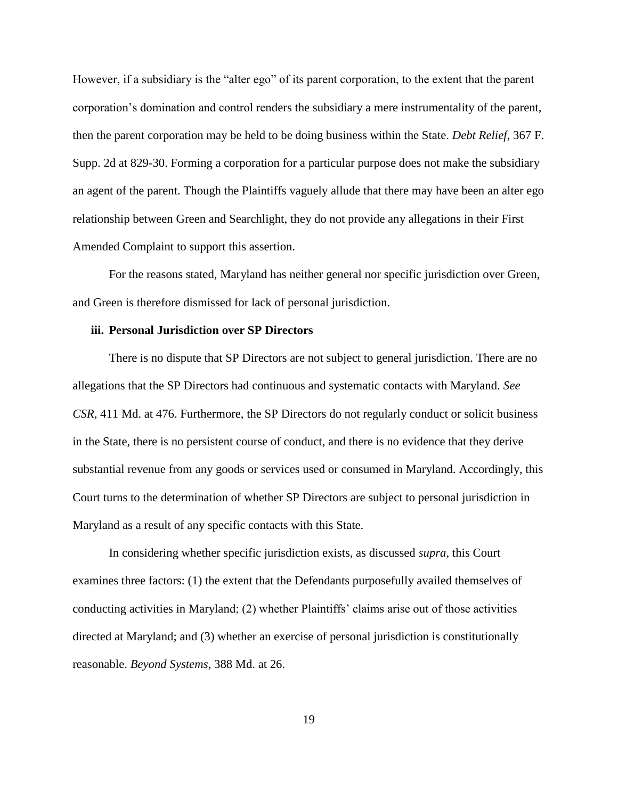However, if a subsidiary is the "alter ego" of its parent corporation, to the extent that the parent corporation's domination and control renders the subsidiary a mere instrumentality of the parent, then the parent corporation may be held to be doing business within the State. *Debt Relief*, 367 F. Supp. 2d at 829-30. Forming a corporation for a particular purpose does not make the subsidiary an agent of the parent. Though the Plaintiffs vaguely allude that there may have been an alter ego relationship between Green and Searchlight, they do not provide any allegations in their First Amended Complaint to support this assertion.

For the reasons stated, Maryland has neither general nor specific jurisdiction over Green, and Green is therefore dismissed for lack of personal jurisdiction.

## **iii. Personal Jurisdiction over SP Directors**

There is no dispute that SP Directors are not subject to general jurisdiction. There are no allegations that the SP Directors had continuous and systematic contacts with Maryland. *See CSR*, 411 Md. at 476. Furthermore, the SP Directors do not regularly conduct or solicit business in the State, there is no persistent course of conduct, and there is no evidence that they derive substantial revenue from any goods or services used or consumed in Maryland. Accordingly, this Court turns to the determination of whether SP Directors are subject to personal jurisdiction in Maryland as a result of any specific contacts with this State.

In considering whether specific jurisdiction exists, as discussed *supra*, this Court examines three factors: (1) the extent that the Defendants purposefully availed themselves of conducting activities in Maryland; (2) whether Plaintiffs' claims arise out of those activities directed at Maryland; and (3) whether an exercise of personal jurisdiction is constitutionally reasonable. *Beyond Systems*, 388 Md. at 26.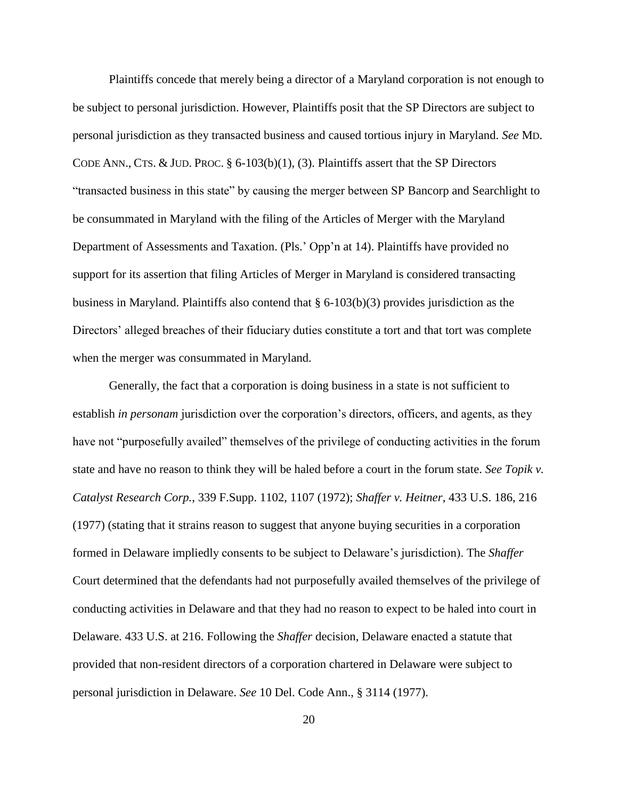Plaintiffs concede that merely being a director of a Maryland corporation is not enough to be subject to personal jurisdiction. However, Plaintiffs posit that the SP Directors are subject to personal jurisdiction as they transacted business and caused tortious injury in Maryland. *See* MD. CODE ANN., CTS.  $&$  JUD. PROC.  $\S$  6-103(b)(1), (3). Plaintiffs assert that the SP Directors "transacted business in this state" by causing the merger between SP Bancorp and Searchlight to be consummated in Maryland with the filing of the Articles of Merger with the Maryland Department of Assessments and Taxation. (Pls.' Opp'n at 14). Plaintiffs have provided no support for its assertion that filing Articles of Merger in Maryland is considered transacting business in Maryland. Plaintiffs also contend that  $\S 6{\text -}103(b)(3)$  provides jurisdiction as the Directors' alleged breaches of their fiduciary duties constitute a tort and that tort was complete when the merger was consummated in Maryland.

Generally, the fact that a corporation is doing business in a state is not sufficient to establish *in personam* jurisdiction over the corporation's directors, officers, and agents, as they have not "purposefully availed" themselves of the privilege of conducting activities in the forum state and have no reason to think they will be haled before a court in the forum state. *See Topik v. Catalyst Research Corp.*, 339 F.Supp. 1102, 1107 (1972); *Shaffer v. Heitner*, 433 U.S. 186, 216 (1977) (stating that it strains reason to suggest that anyone buying securities in a corporation formed in Delaware impliedly consents to be subject to Delaware's jurisdiction). The *Shaffer*  Court determined that the defendants had not purposefully availed themselves of the privilege of conducting activities in Delaware and that they had no reason to expect to be haled into court in Delaware. 433 U.S. at 216. Following the *Shaffer* decision, Delaware enacted a statute that provided that non-resident directors of a corporation chartered in Delaware were subject to personal jurisdiction in Delaware. *See* 10 Del. Code Ann., § 3114 (1977).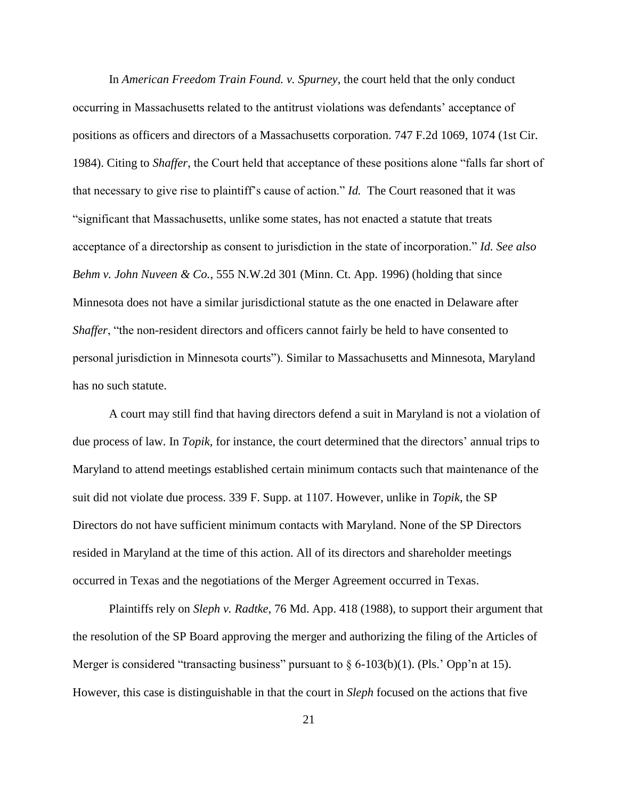In *American Freedom Train Found. v. Spurney*, the court held that the only conduct occurring in Massachusetts related to the antitrust violations was defendants' acceptance of positions as officers and directors of a Massachusetts corporation. 747 F.2d 1069, 1074 (1st Cir. 1984). Citing to *Shaffer*, the Court held that acceptance of these positions alone "falls far short of that necessary to give rise to plaintiff's cause of action." *Id.* The Court reasoned that it was "significant that Massachusetts, unlike some states, has not enacted a statute that treats acceptance of a directorship as consent to jurisdiction in the state of incorporation." *Id. See also Behm v. John Nuveen & Co.*, 555 N.W.2d 301 (Minn. Ct. App. 1996) (holding that since Minnesota does not have a similar jurisdictional statute as the one enacted in Delaware after *Shaffer*, "the non-resident directors and officers cannot fairly be held to have consented to personal jurisdiction in Minnesota courts"). Similar to Massachusetts and Minnesota, Maryland has no such statute.

A court may still find that having directors defend a suit in Maryland is not a violation of due process of law. In *Topik*, for instance, the court determined that the directors' annual trips to Maryland to attend meetings established certain minimum contacts such that maintenance of the suit did not violate due process. 339 F. Supp. at 1107. However, unlike in *Topik*, the SP Directors do not have sufficient minimum contacts with Maryland. None of the SP Directors resided in Maryland at the time of this action. All of its directors and shareholder meetings occurred in Texas and the negotiations of the Merger Agreement occurred in Texas.

Plaintiffs rely on *Sleph v. Radtke*, 76 Md. App. 418 (1988), to support their argument that the resolution of the SP Board approving the merger and authorizing the filing of the Articles of Merger is considered "transacting business" pursuant to  $\S 6-103(b)(1)$ . (Pls.' Opp'n at 15). However, this case is distinguishable in that the court in *Sleph* focused on the actions that five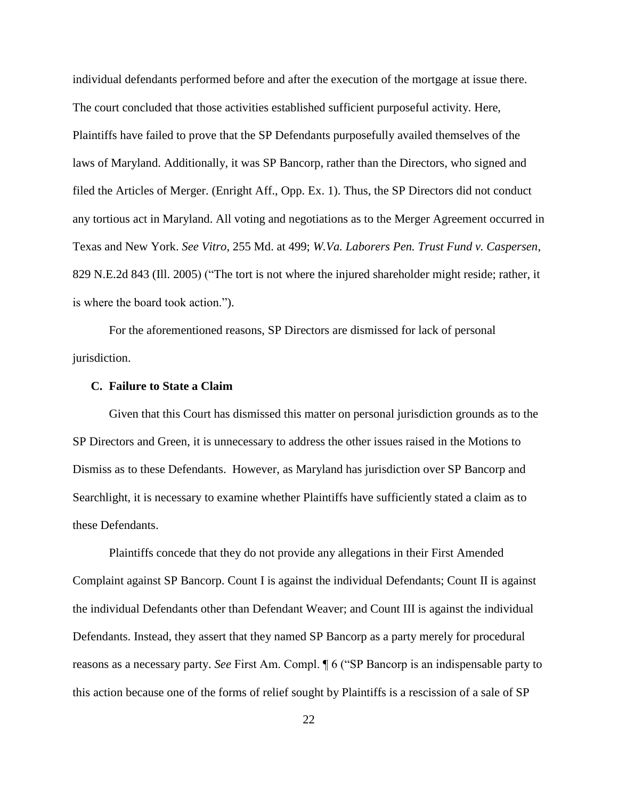individual defendants performed before and after the execution of the mortgage at issue there. The court concluded that those activities established sufficient purposeful activity. Here, Plaintiffs have failed to prove that the SP Defendants purposefully availed themselves of the laws of Maryland. Additionally, it was SP Bancorp, rather than the Directors, who signed and filed the Articles of Merger. (Enright Aff., Opp. Ex. 1). Thus, the SP Directors did not conduct any tortious act in Maryland. All voting and negotiations as to the Merger Agreement occurred in Texas and New York. *See Vitro*, 255 Md. at 499; *W.Va. Laborers Pen. Trust Fund v. Caspersen*, 829 N.E.2d 843 (Ill. 2005) ("The tort is not where the injured shareholder might reside; rather, it is where the board took action.").

For the aforementioned reasons, SP Directors are dismissed for lack of personal jurisdiction.

## **C. Failure to State a Claim**

Given that this Court has dismissed this matter on personal jurisdiction grounds as to the SP Directors and Green, it is unnecessary to address the other issues raised in the Motions to Dismiss as to these Defendants. However, as Maryland has jurisdiction over SP Bancorp and Searchlight, it is necessary to examine whether Plaintiffs have sufficiently stated a claim as to these Defendants.

Plaintiffs concede that they do not provide any allegations in their First Amended Complaint against SP Bancorp. Count I is against the individual Defendants; Count II is against the individual Defendants other than Defendant Weaver; and Count III is against the individual Defendants. Instead, they assert that they named SP Bancorp as a party merely for procedural reasons as a necessary party. *See* First Am. Compl. ¶ 6 ("SP Bancorp is an indispensable party to this action because one of the forms of relief sought by Plaintiffs is a rescission of a sale of SP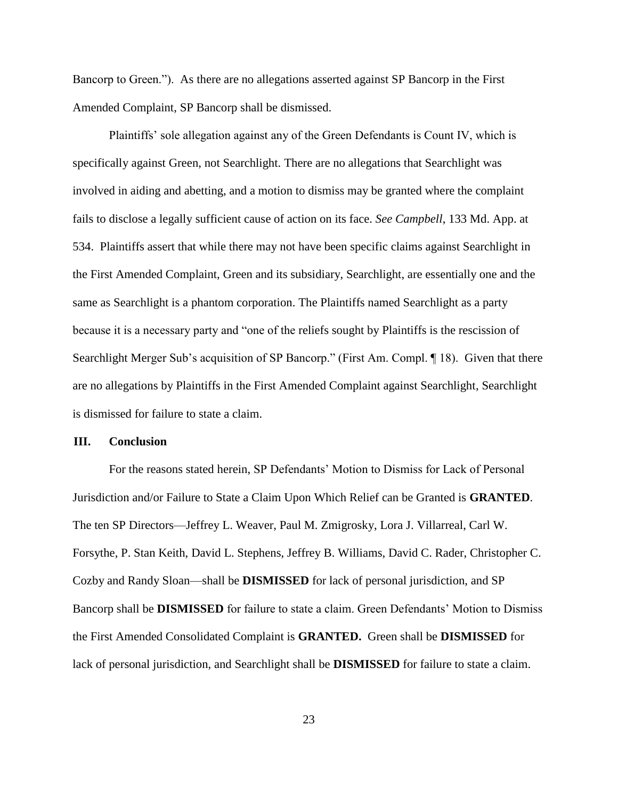Bancorp to Green."). As there are no allegations asserted against SP Bancorp in the First Amended Complaint, SP Bancorp shall be dismissed.

Plaintiffs' sole allegation against any of the Green Defendants is Count IV, which is specifically against Green, not Searchlight. There are no allegations that Searchlight was involved in aiding and abetting, and a motion to dismiss may be granted where the complaint fails to disclose a legally sufficient cause of action on its face. *See Campbell*, 133 Md. App. at 534. Plaintiffs assert that while there may not have been specific claims against Searchlight in the First Amended Complaint, Green and its subsidiary, Searchlight, are essentially one and the same as Searchlight is a phantom corporation. The Plaintiffs named Searchlight as a party because it is a necessary party and "one of the reliefs sought by Plaintiffs is the rescission of Searchlight Merger Sub's acquisition of SP Bancorp." (First Am. Compl. ¶ 18). Given that there are no allegations by Plaintiffs in the First Amended Complaint against Searchlight, Searchlight is dismissed for failure to state a claim.

### **III. Conclusion**

For the reasons stated herein, SP Defendants' Motion to Dismiss for Lack of Personal Jurisdiction and/or Failure to State a Claim Upon Which Relief can be Granted is **GRANTED**. The ten SP Directors—Jeffrey L. Weaver, Paul M. Zmigrosky, Lora J. Villarreal, Carl W. Forsythe, P. Stan Keith, David L. Stephens, Jeffrey B. Williams, David C. Rader, Christopher C. Cozby and Randy Sloan—shall be **DISMISSED** for lack of personal jurisdiction, and SP Bancorp shall be **DISMISSED** for failure to state a claim. Green Defendants' Motion to Dismiss the First Amended Consolidated Complaint is **GRANTED.** Green shall be **DISMISSED** for lack of personal jurisdiction, and Searchlight shall be **DISMISSED** for failure to state a claim.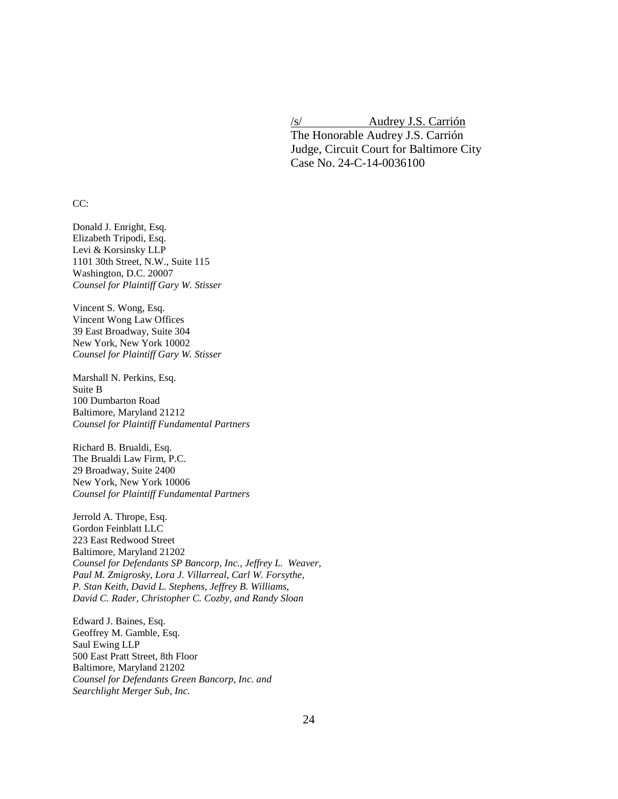/s/ Audrey J.S. Carrión The Honorable Audrey J.S. Carrión Judge, Circuit Court for Baltimore City Case No. 24-C-14-0036100

CC:

Donald J. Enright, Esq. Elizabeth Tripodi, Esq. Levi & Korsinsky LLP 1101 30th Street, N.W., Suite 115 Washington, D.C. 20007 *Counsel for Plaintiff Gary W. Stisser*

Vincent S. Wong, Esq. Vincent Wong Law Offices 39 East Broadway, Suite 304 New York, New York 10002 *Counsel for Plaintiff Gary W. Stisser*

Marshall N. Perkins, Esq. Suite B 100 Dumbarton Road Baltimore, Maryland 21212 *Counsel for Plaintiff Fundamental Partners*

Richard B. Brualdi, Esq. The Brualdi Law Firm, P.C. 29 Broadway, Suite 2400 New York, New York 10006 *Counsel for Plaintiff Fundamental Partners*

Jerrold A. Thrope, Esq. Gordon Feinblatt LLC 223 East Redwood Street Baltimore, Maryland 21202 *Counsel for Defendants SP Bancorp, Inc., Jeffrey L. Weaver, Paul M. Zmigrosky, Lora J. Villarreal, Carl W. Forsythe, P. Stan Keith, David L. Stephens, Jeffrey B. Williams, David C. Rader, Christopher C. Cozby, and Randy Sloan*

Edward J. Baines, Esq. Geoffrey M. Gamble, Esq. Saul Ewing LLP 500 East Pratt Street, 8th Floor Baltimore, Maryland 21202 *Counsel for Defendants Green Bancorp, Inc. and Searchlight Merger Sub, Inc.*